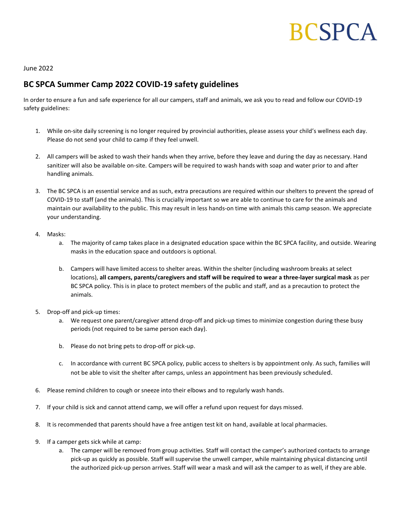# **BCSPCA**

June 2022

## BC SPCA Summer Camp 2022 COVID-19 safety guidelines

In order to ensure a fun and safe experience for all our campers, staff and animals, we ask you to read and follow our COVID-19 safety guidelines:

- 1. While on-site daily screening is no longer required by provincial authorities, please assess your child's wellness each day. Please do not send your child to camp if they feel unwell.
- 2. All campers will be asked to wash their hands when they arrive, before they leave and during the day as necessary. Hand sanitizer will also be available on-site. Campers will be required to wash hands with soap and water prior to and after handling animals.
- 3. The BC SPCA is an essential service and as such, extra precautions are required within our shelters to prevent the spread of COVID-19 to staff (and the animals). This is crucially important so we are able to continue to care for the animals and maintain our availability to the public. This may result in less hands-on time with animals this camp season. We appreciate your understanding.
- 4. Masks:
	- a. The majority of camp takes place in a designated education space within the BC SPCA facility, and outside. Wearing masks in the education space and outdoors is optional.
	- b. Campers will have limited access to shelter areas. Within the shelter (including washroom breaks at select locations), all campers, parents/caregivers and staff will be required to wear a three-layer surgical mask as per BC SPCA policy. This is in place to protect members of the public and staff, and as a precaution to protect the animals.
- 5. Drop-off and pick-up times:
	- a. We request one parent/caregiver attend drop-off and pick-up times to minimize congestion during these busy periods (not required to be same person each day).
	- b. Please do not bring pets to drop-off or pick-up.
	- c. In accordance with current BC SPCA policy, public access to shelters is by appointment only. As such, families will not be able to visit the shelter after camps, unless an appointment has been previously scheduled.
- 6. Please remind children to cough or sneeze into their elbows and to regularly wash hands.
- 7. If your child is sick and cannot attend camp, we will offer a refund upon request for days missed.
- 8. It is recommended that parents should have a free antigen test kit on hand, available at local pharmacies.
- 9. If a camper gets sick while at camp:
	- a. The camper will be removed from group activities. Staff will contact the camper's authorized contacts to arrange pick-up as quickly as possible. Staff will supervise the unwell camper, while maintaining physical distancing until the authorized pick-up person arrives. Staff will wear a mask and will ask the camper to as well, if they are able.